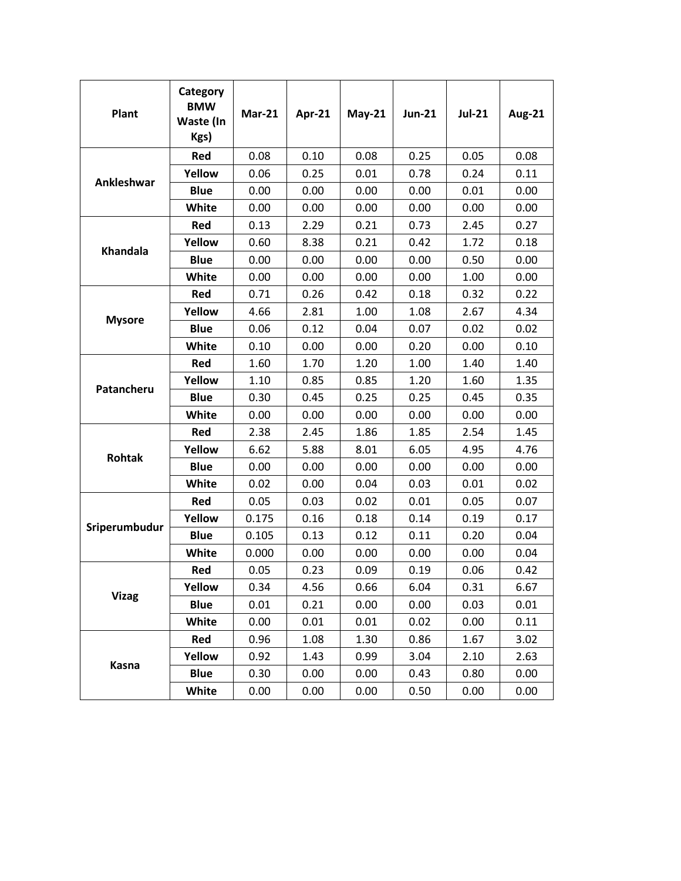| Plant         | Category<br><b>BMW</b><br>Waste (In<br>Kgs) | <b>Mar-21</b> | Apr-21 | $May-21$ | <b>Jun-21</b> | <b>Jul-21</b> | <b>Aug-21</b> |
|---------------|---------------------------------------------|---------------|--------|----------|---------------|---------------|---------------|
| Ankleshwar    | Red                                         | 0.08          | 0.10   | 0.08     | 0.25          | 0.05          | 0.08          |
|               | Yellow                                      | 0.06          | 0.25   | 0.01     | 0.78          | 0.24          | 0.11          |
|               | <b>Blue</b>                                 | 0.00          | 0.00   | 0.00     | 0.00          | 0.01          | 0.00          |
|               | White                                       | 0.00          | 0.00   | 0.00     | 0.00          | 0.00          | 0.00          |
| Khandala      | Red                                         | 0.13          | 2.29   | 0.21     | 0.73          | 2.45          | 0.27          |
|               | Yellow                                      | 0.60          | 8.38   | 0.21     | 0.42          | 1.72          | 0.18          |
|               | <b>Blue</b>                                 | 0.00          | 0.00   | 0.00     | 0.00          | 0.50          | 0.00          |
|               | White                                       | 0.00          | 0.00   | 0.00     | 0.00          | 1.00          | 0.00          |
| <b>Mysore</b> | Red                                         | 0.71          | 0.26   | 0.42     | 0.18          | 0.32          | 0.22          |
|               | Yellow                                      | 4.66          | 2.81   | 1.00     | 1.08          | 2.67          | 4.34          |
|               | <b>Blue</b>                                 | 0.06          | 0.12   | 0.04     | 0.07          | 0.02          | 0.02          |
|               | White                                       | 0.10          | 0.00   | 0.00     | 0.20          | 0.00          | 0.10          |
| Patancheru    | Red                                         | 1.60          | 1.70   | 1.20     | 1.00          | 1.40          | 1.40          |
|               | Yellow                                      | 1.10          | 0.85   | 0.85     | 1.20          | 1.60          | 1.35          |
|               | <b>Blue</b>                                 | 0.30          | 0.45   | 0.25     | 0.25          | 0.45          | 0.35          |
|               | White                                       | 0.00          | 0.00   | 0.00     | 0.00          | 0.00          | 0.00          |
| <b>Rohtak</b> | Red                                         | 2.38          | 2.45   | 1.86     | 1.85          | 2.54          | 1.45          |
|               | Yellow                                      | 6.62          | 5.88   | 8.01     | 6.05          | 4.95          | 4.76          |
|               | <b>Blue</b>                                 | 0.00          | 0.00   | 0.00     | 0.00          | 0.00          | 0.00          |
|               | White                                       | 0.02          | 0.00   | 0.04     | 0.03          | 0.01          | 0.02          |
| Sriperumbudur | Red                                         | 0.05          | 0.03   | 0.02     | 0.01          | 0.05          | 0.07          |
|               | Yellow                                      | 0.175         | 0.16   | 0.18     | 0.14          | 0.19          | 0.17          |
|               | <b>Blue</b>                                 | 0.105         | 0.13   | 0.12     | 0.11          | 0.20          | 0.04          |
|               | White                                       | 0.000         | 0.00   | 0.00     | 0.00          | 0.00          | 0.04          |
| <b>Vizag</b>  | Red                                         | 0.05          | 0.23   | 0.09     | 0.19          | 0.06          | 0.42          |
|               | Yellow                                      | 0.34          | 4.56   | 0.66     | 6.04          | 0.31          | 6.67          |
|               | <b>Blue</b>                                 | 0.01          | 0.21   | 0.00     | 0.00          | 0.03          | 0.01          |
|               | White                                       | 0.00          | 0.01   | 0.01     | 0.02          | 0.00          | 0.11          |
| Kasna         | Red                                         | 0.96          | 1.08   | 1.30     | 0.86          | 1.67          | 3.02          |
|               | Yellow                                      | 0.92          | 1.43   | 0.99     | 3.04          | 2.10          | 2.63          |
|               | <b>Blue</b>                                 | 0.30          | 0.00   | 0.00     | 0.43          | 0.80          | 0.00          |
|               | White                                       | 0.00          | 0.00   | 0.00     | 0.50          | 0.00          | 0.00          |